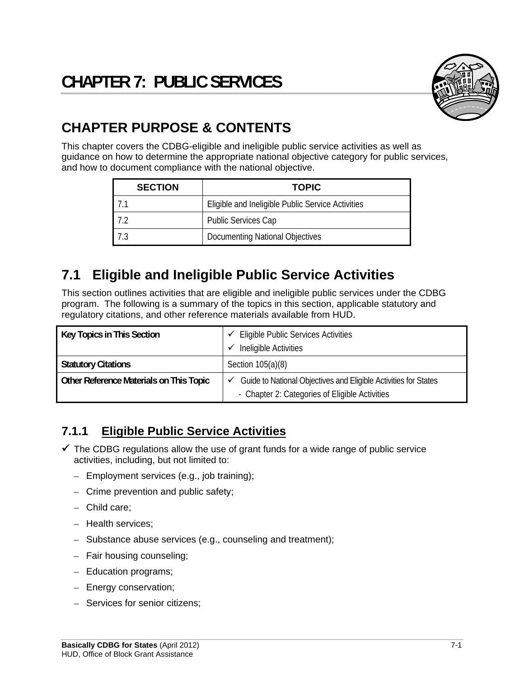

# **CHAPTER PURPOSE & CONTENTS**

This chapter covers the CDBG-eligible and ineligible public service activities as well as guidance on how to determine the appropriate national objective category for public services, and how to document compliance with the national objective.

| <b>SECTION</b> | <b>TOPIC</b>                                      |  |  |  |
|----------------|---------------------------------------------------|--|--|--|
|                | Eligible and Ineligible Public Service Activities |  |  |  |
|                | <b>Public Services Cap</b>                        |  |  |  |
|                | <b>Documenting National Objectives</b>            |  |  |  |

## **7.1 Eligible and Ineligible Public Service Activities**

This section outlines activities that are eligible and ineligible public services under the CDBG program. The following is a summary of the topics in this section, applicable statutory and regulatory citations, and other reference materials available from HUD.

| Key Topics in This Section              | <b>Eligible Public Services Activities</b>                      |  |
|-----------------------------------------|-----------------------------------------------------------------|--|
|                                         | Ineligible Activities                                           |  |
| <b>Statutory Citations</b>              | Section $105(a)(8)$                                             |  |
| Other Reference Materials on This Topic | Guide to National Objectives and Eligible Activities for States |  |
|                                         | - Chapter 2: Categories of Eligible Activities                  |  |

#### **7.1.1 Eligible Public Service Activities**

- $\checkmark$  The CDBG regulations allow the use of grant funds for a wide range of public service activities, including, but not limited to:
	- Employment services (e.g., job training);
	- Crime prevention and public safety;
	- Child care;
	- Health services;
	- Substance abuse services (e.g., counseling and treatment);
	- Fair housing counseling;
	- Education programs;
	- Energy conservation;
	- Services for senior citizens;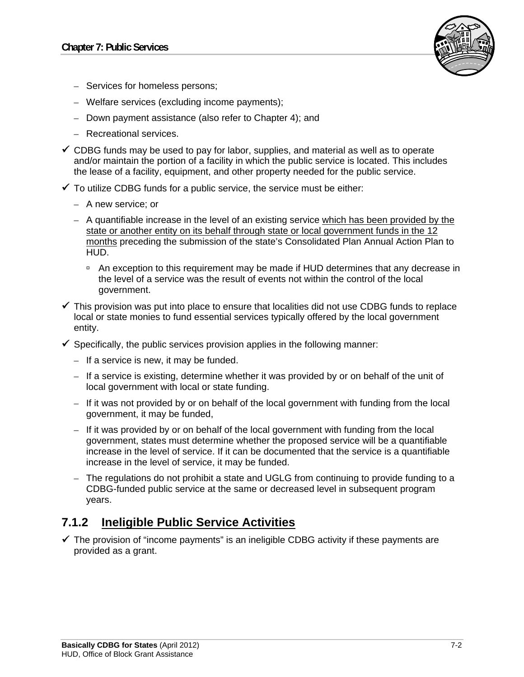

- Services for homeless persons;
- Welfare services (excluding income payments);
- Down payment assistance (also refer to Chapter 4); and
- Recreational services.
- $\checkmark$  CDBG funds may be used to pay for labor, supplies, and material as well as to operate and/or maintain the portion of a facility in which the public service is located. This includes the lease of a facility, equipment, and other property needed for the public service.
- $\checkmark$  To utilize CDBG funds for a public service, the service must be either:
	- A new service; or
	- A quantifiable increase in the level of an existing service which has been provided by the state or another entity on its behalf through state or local government funds in the 12 months preceding the submission of the state's Consolidated Plan Annual Action Plan to HUD.
		- An exception to this requirement may be made if HUD determines that any decrease in the level of a service was the result of events not within the control of the local government.
- $\checkmark$  This provision was put into place to ensure that localities did not use CDBG funds to replace local or state monies to fund essential services typically offered by the local government entity.
- $\checkmark$  Specifically, the public services provision applies in the following manner:
	- If a service is new, it may be funded.
	- If a service is existing, determine whether it was provided by or on behalf of the unit of local government with local or state funding.
	- If it was not provided by or on behalf of the local government with funding from the local government, it may be funded,
	- If it was provided by or on behalf of the local government with funding from the local government, states must determine whether the proposed service will be a quantifiable increase in the level of service. If it can be documented that the service is a quantifiable increase in the level of service, it may be funded.
	- The regulations do not prohibit a state and UGLG from continuing to provide funding to a CDBG-funded public service at the same or decreased level in subsequent program years.

#### **7.1.2 Ineligible Public Service Activities**

 $\checkmark$  The provision of "income payments" is an ineligible CDBG activity if these payments are provided as a grant.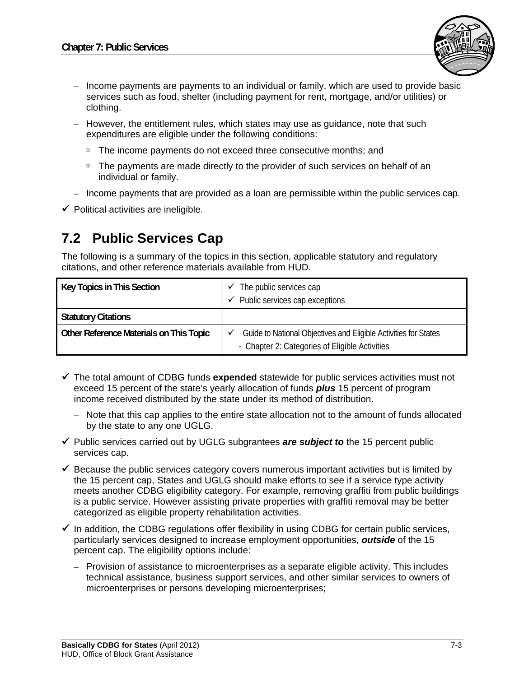

- Income payments are payments to an individual or family, which are used to provide basic services such as food, shelter (including payment for rent, mortgage, and/or utilities) or clothing.
- However, the entitlement rules, which states may use as guidance, note that such expenditures are eligible under the following conditions:
	- □ The income payments do not exceed three consecutive months; and
	- □ The payments are made directly to the provider of such services on behalf of an individual or family.
- Income payments that are provided as a loan are permissible within the public services cap.
- $\checkmark$  Political activities are ineligible.

### **7.2 Public Services Cap**

The following is a summary of the topics in this section, applicable statutory and regulatory citations, and other reference materials available from HUD.

| Key Topics in This Section              | The public services cap                                         |  |
|-----------------------------------------|-----------------------------------------------------------------|--|
|                                         | $\checkmark$ Public services cap exceptions                     |  |
| <b>Statutory Citations</b>              |                                                                 |  |
| Other Reference Materials on This Topic | Guide to National Objectives and Eligible Activities for States |  |
|                                         | - Chapter 2: Categories of Eligible Activities                  |  |

- The total amount of CDBG funds **expended** statewide for public services activities must not exceed 15 percent of the state's yearly allocation of funds *plus* 15 percent of program income received distributed by the state under its method of distribution.
	- Note that this cap applies to the entire state allocation not to the amount of funds allocated by the state to any one UGLG.
- Public services carried out by UGLG subgrantees *are subject to* the 15 percent public services cap.
- $\checkmark$  Because the public services category covers numerous important activities but is limited by the 15 percent cap, States and UGLG should make efforts to see if a service type activity meets another CDBG eligibility category. For example, removing graffiti from public buildings is a public service. However assisting private properties with graffiti removal may be better categorized as eligible property rehabilitation activities.
- $\checkmark$  In addition, the CDBG regulations offer flexibility in using CDBG for certain public services, particularly services designed to increase employment opportunities, *outside* of the 15 percent cap. The eligibility options include:
	- Provision of assistance to microenterprises as a separate eligible activity. This includes technical assistance, business support services, and other similar services to owners of microenterprises or persons developing microenterprises;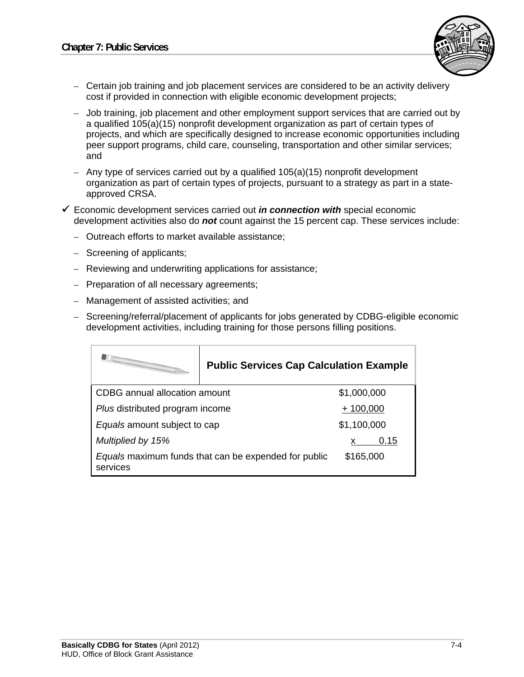

- Certain job training and job placement services are considered to be an activity delivery cost if provided in connection with eligible economic development projects;
- Job training, job placement and other employment support services that are carried out by a qualified 105(a)(15) nonprofit development organization as part of certain types of projects, and which are specifically designed to increase economic opportunities including peer support programs, child care, counseling, transportation and other similar services; and
- Any type of services carried out by a qualified 105(a)(15) nonprofit development organization as part of certain types of projects, pursuant to a strategy as part in a stateapproved CRSA.
- Economic development services carried out *in connection with* special economic development activities also do *not* count against the 15 percent cap. These services include:
	- Outreach efforts to market available assistance;
	- Screening of applicants;
	- Reviewing and underwriting applications for assistance;
	- Preparation of all necessary agreements;
	- Management of assisted activities; and
	- Screening/referral/placement of applicants for jobs generated by CDBG-eligible economic development activities, including training for those persons filling positions.

|                                                                  | <b>Public Services Cap Calculation Example</b> |             |      |  |
|------------------------------------------------------------------|------------------------------------------------|-------------|------|--|
| CDBG annual allocation amount                                    |                                                | \$1,000,000 |      |  |
| Plus distributed program income                                  |                                                | $+100,000$  |      |  |
| Equals amount subject to cap                                     |                                                | \$1,100,000 |      |  |
| Multiplied by 15%                                                |                                                |             | 0.15 |  |
| Equals maximum funds that can be expended for public<br>services |                                                | \$165,000   |      |  |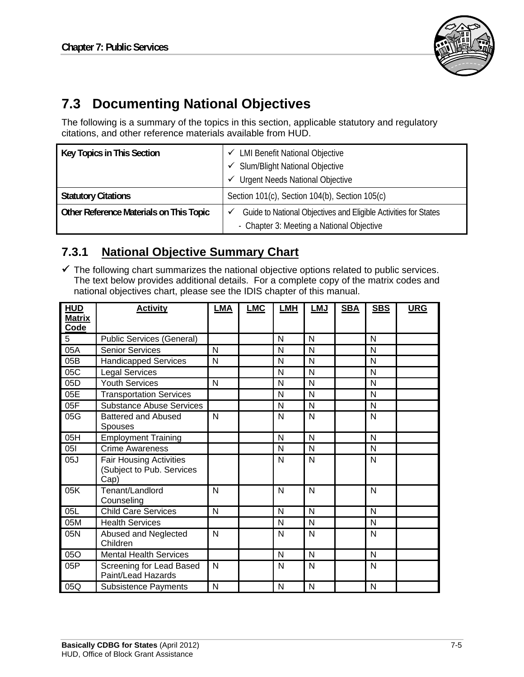

# **7.3 Documenting National Objectives**

The following is a summary of the topics in this section, applicable statutory and regulatory citations, and other reference materials available from HUD.

| Key Topics in This Section              | ← LMI Benefit National Objective                                                                                  |  |  |
|-----------------------------------------|-------------------------------------------------------------------------------------------------------------------|--|--|
|                                         | <b>Slum/Blight National Objective</b><br>✓                                                                        |  |  |
|                                         | <b>Urgent Needs National Objective</b><br>✓                                                                       |  |  |
| <b>Statutory Citations</b>              | Section 101(c), Section 104(b), Section 105(c)                                                                    |  |  |
| Other Reference Materials on This Topic | Guide to National Objectives and Eligible Activities for States<br>✓<br>- Chapter 3: Meeting a National Objective |  |  |

#### **7.3.1 National Objective Summary Chart**

 $\checkmark$  The following chart summarizes the national objective options related to public services. The text below provides additional details. For a complete copy of the matrix codes and national objectives chart, please see the IDIS chapter of this manual.

| <b>HUD</b>            | <b>Activity</b>                  | LMA          | <b>LMC</b> | <b>LMH</b> | <b>LMJ</b>   | <b>SBA</b> | <b>SBS</b> | <b>URG</b> |
|-----------------------|----------------------------------|--------------|------------|------------|--------------|------------|------------|------------|
| <b>Matrix</b><br>Code |                                  |              |            |            |              |            |            |            |
|                       |                                  |              |            |            |              |            |            |            |
| $\overline{5}$        | <b>Public Services (General)</b> |              |            | N          | N            |            | N          |            |
| 05A                   | <b>Senior Services</b>           | $\mathsf{N}$ |            | N          | N            |            | N          |            |
| 05B                   | <b>Handicapped Services</b>      | N            |            | N          | N            |            | N          |            |
| 05C                   | <b>Legal Services</b>            |              |            | N          | N            |            | N          |            |
| 05D                   | <b>Youth Services</b>            | $\mathsf{N}$ |            | N          | N            |            | N          |            |
| 05E                   | <b>Transportation Services</b>   |              |            | N          | N            |            | N          |            |
| 05F                   | <b>Substance Abuse Services</b>  |              |            | N          | N            |            | N          |            |
| 05G                   | Battered and Abused              | N            |            | N          | N            |            | N          |            |
|                       | Spouses                          |              |            |            |              |            |            |            |
| 05H                   | <b>Employment Training</b>       |              |            | N          | N            |            | N          |            |
| 051                   | <b>Crime Awareness</b>           |              |            | N          | N            |            | N          |            |
| 05J                   | <b>Fair Housing Activities</b>   |              |            | N          | N            |            | N          |            |
|                       | (Subject to Pub. Services        |              |            |            |              |            |            |            |
|                       | Cap)                             |              |            |            |              |            |            |            |
| 05K                   | Tenant/Landlord                  | N            |            | N          | N            |            | N          |            |
|                       | Counseling                       |              |            |            |              |            |            |            |
| 05L                   | <b>Child Care Services</b>       | N            |            | N          | N            |            | N          |            |
| 05M                   | <b>Health Services</b>           |              |            | N          | N            |            | N          |            |
| 05N                   | Abused and Neglected             | N            |            | N          | N            |            | N          |            |
|                       | Children                         |              |            |            |              |            |            |            |
| 050                   | <b>Mental Health Services</b>    |              |            | N          | N            |            | N          |            |
| 05P                   | Screening for Lead Based         | N            |            | N          | N            |            | N          |            |
|                       | Paint/Lead Hazards               |              |            |            |              |            |            |            |
| 05Q                   | <b>Subsistence Payments</b>      | N            |            | N          | $\mathsf{N}$ |            | N          |            |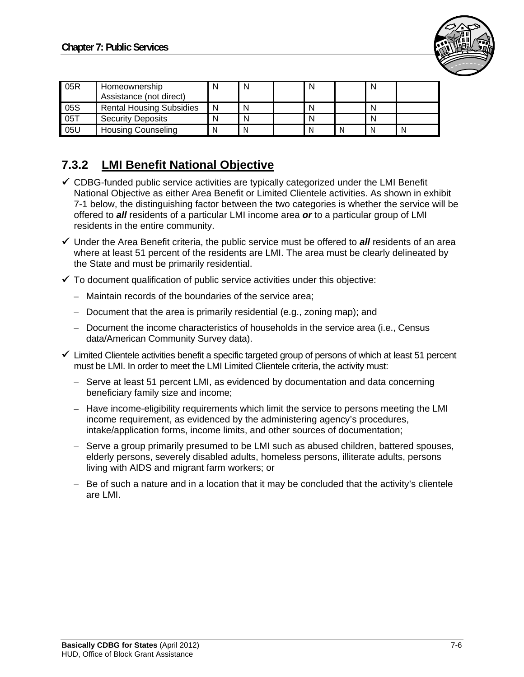

| 05R | Homeownership<br>Assistance (not direct) | N | N | N |   | N |   |
|-----|------------------------------------------|---|---|---|---|---|---|
| 05S | <b>Rental Housing Subsidies</b>          | N | N |   |   | N |   |
| 05T | <b>Security Deposits</b>                 | N | N | N |   | N |   |
| 05U | <b>Housing Counseling</b>                | Ν |   |   | N | Ν | N |

#### **7.3.2 LMI Benefit National Objective**

- $\checkmark$  CDBG-funded public service activities are typically categorized under the LMI Benefit National Objective as either Area Benefit or Limited Clientele activities. As shown in exhibit 7-1 below, the distinguishing factor between the two categories is whether the service will be offered to *all* residents of a particular LMI income area *or* to a particular group of LMI residents in the entire community.
- $\checkmark$  Under the Area Benefit criteria, the public service must be offered to **all** residents of an area where at least 51 percent of the residents are LMI. The area must be clearly delineated by the State and must be primarily residential.
- $\checkmark$  To document qualification of public service activities under this objective:
	- Maintain records of the boundaries of the service area;
	- Document that the area is primarily residential (e.g., zoning map); and
	- Document the income characteristics of households in the service area (i.e., Census data/American Community Survey data).
- $\checkmark$  Limited Clientele activities benefit a specific targeted group of persons of which at least 51 percent must be LMI. In order to meet the LMI Limited Clientele criteria, the activity must:
	- Serve at least 51 percent LMI, as evidenced by documentation and data concerning beneficiary family size and income;
	- Have income-eligibility requirements which limit the service to persons meeting the LMI income requirement, as evidenced by the administering agency's procedures, intake/application forms, income limits, and other sources of documentation;
	- Serve a group primarily presumed to be LMI such as abused children, battered spouses, elderly persons, severely disabled adults, homeless persons, illiterate adults, persons living with AIDS and migrant farm workers; or
	- Be of such a nature and in a location that it may be concluded that the activity's clientele are LMI.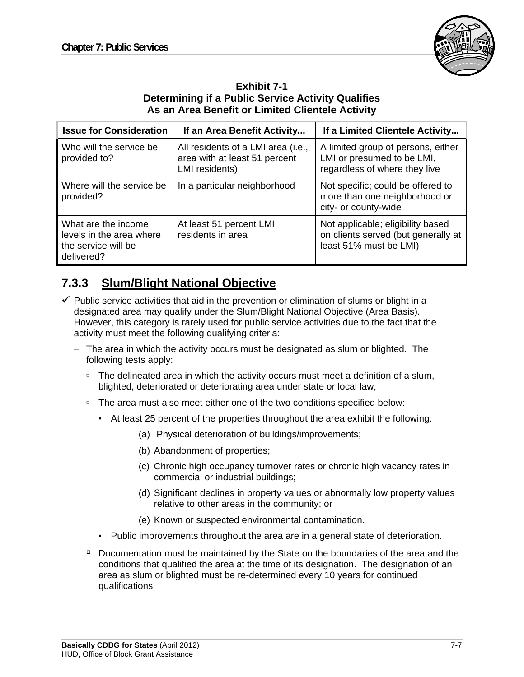

#### **Exhibit 7-1 Determining if a Public Service Activity Qualifies As an Area Benefit or Limited Clientele Activity**

| <b>Issue for Consideration</b>                                                       | If an Area Benefit Activity                                                           | If a Limited Clientele Activity                                                                    |
|--------------------------------------------------------------------------------------|---------------------------------------------------------------------------------------|----------------------------------------------------------------------------------------------------|
| Who will the service be<br>provided to?                                              | All residents of a LMI area (i.e.,<br>area with at least 51 percent<br>LMI residents) | A limited group of persons, either<br>LMI or presumed to be LMI,<br>regardless of where they live  |
| Where will the service be<br>provided?                                               | In a particular neighborhood                                                          | Not specific; could be offered to<br>more than one neighborhood or<br>city- or county-wide         |
| What are the income<br>levels in the area where<br>the service will be<br>delivered? | At least 51 percent LMI<br>residents in area                                          | Not applicable; eligibility based<br>on clients served (but generally at<br>least 51% must be LMI) |

### **7.3.3 Slum/Blight National Objective**

- $\checkmark$  Public service activities that aid in the prevention or elimination of slums or blight in a designated area may qualify under the Slum/Blight National Objective (Area Basis). However, this category is rarely used for public service activities due to the fact that the activity must meet the following qualifying criteria:
	- The area in which the activity occurs must be designated as slum or blighted. The following tests apply:
		- <sup>o</sup> The delineated area in which the activity occurs must meet a definition of a slum, blighted, deteriorated or deteriorating area under state or local law;
		- □ The area must also meet either one of the two conditions specified below:
			- At least 25 percent of the properties throughout the area exhibit the following:
				- (a) Physical deterioration of buildings/improvements;
				- (b) Abandonment of properties;
				- (c) Chronic high occupancy turnover rates or chronic high vacancy rates in commercial or industrial buildings;
				- (d) Significant declines in property values or abnormally low property values relative to other areas in the community; or
				- (e) Known or suspected environmental contamination.
			- Public improvements throughout the area are in a general state of deterioration.
		- $\Box$  Documentation must be maintained by the State on the boundaries of the area and the conditions that qualified the area at the time of its designation. The designation of an area as slum or blighted must be re-determined every 10 years for continued qualifications